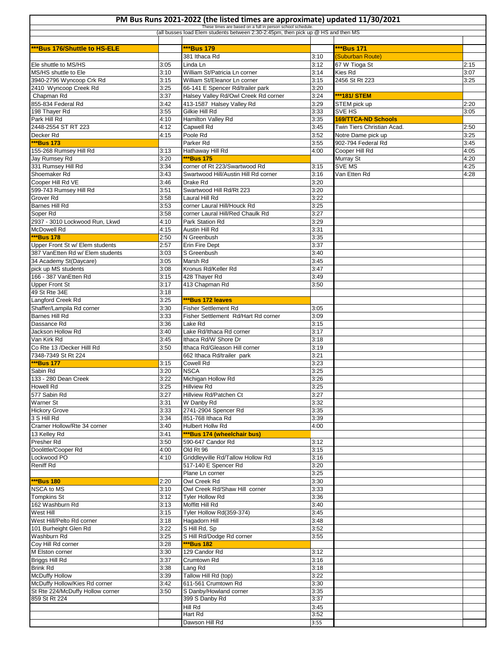## **PM Bus Runs 2021-2022 (the listed times are approximate) updated 11/30/2021**

T

| PM Bus Runs 2021-2022 (the listed times are approximate) updated 11/30/2021                                                                     |              |                                                                 |              |                                                          |      |  |  |  |  |
|-------------------------------------------------------------------------------------------------------------------------------------------------|--------------|-----------------------------------------------------------------|--------------|----------------------------------------------------------|------|--|--|--|--|
| These times are based on a full in person school schedule.<br>(all busses load Elem students between 2:30-2:45pm, then pick up @ HS and then MS |              |                                                                 |              |                                                          |      |  |  |  |  |
|                                                                                                                                                 |              |                                                                 |              |                                                          |      |  |  |  |  |
| ***Bus 176/Shuttle to HS-ELE                                                                                                                    |              | ***Bus 179                                                      |              | ***Bus 171                                               |      |  |  |  |  |
| Ele shuttle to MS/HS                                                                                                                            | 3:05         | 381 Ithaca Rd<br>Linda Ln                                       | 3:10<br>3:12 | (Suburban Route)<br>67 W Tioga St                        | 2:15 |  |  |  |  |
| MS/HS shuttle to Ele                                                                                                                            | 3:10         | William St/Patricia Ln corner                                   | 3:14         | Kies Rd                                                  | 3:07 |  |  |  |  |
| 3940-2796 Wyncoop Crk Rd                                                                                                                        | 3:15         | William St/Eleanor Ln corner                                    | 3:15         | 2456 St Rt 223                                           | 3:25 |  |  |  |  |
| 2410 Wyncoop Creek Rd                                                                                                                           | 3:25         | 66-141 E Spencer Rd/trailer park                                | 3:20         |                                                          |      |  |  |  |  |
| Chapman Rd                                                                                                                                      | 3:37         | Halsey Valley Rd/Owl Creek Rd corner                            | 3:24         | ***181/STEM                                              |      |  |  |  |  |
| 855-834 Federal Rd                                                                                                                              | 3:42         | 413-1587 Halsey Valley Rd                                       | 3:29         | STEM pick up                                             | 2:20 |  |  |  |  |
| 198 Thayer Rd                                                                                                                                   | 3:55         | Gilkie Hill Rd                                                  | 3:33         | SVE HS                                                   | 3:05 |  |  |  |  |
| Park Hill Rd<br>2448-2554 ST RT 223                                                                                                             | 4:10<br>4:12 | Hamilton Valley Rd<br>Capwell Rd                                | 3:35<br>3:45 | <b>169/TTCA-ND Schools</b><br>Twin Tiers Christian Acad. | 2:50 |  |  |  |  |
| Decker Rd                                                                                                                                       | 4:15         | Poole Rd                                                        | 3:52         | Notre Dame pick up                                       | 3:25 |  |  |  |  |
| ***Bus 173                                                                                                                                      |              | Parker Rd                                                       | 3:55         | 902-794 Federal Rd                                       | 3:45 |  |  |  |  |
| 155-268 Rumsey Hill Rd                                                                                                                          | 3:13         | Hathaway Hill Rd                                                | 4:00         | Cooper Hill Rd                                           | 4:05 |  |  |  |  |
| Jay Rumsey Rd                                                                                                                                   | 3:20         | ***Bus 175                                                      |              | Murray St                                                | 4:20 |  |  |  |  |
| 331 Rumsey Hill Rd                                                                                                                              | 3:34         | corner of Rt 223/Swartwood Rd                                   | 3:15         | SVE MS                                                   | 4:25 |  |  |  |  |
| Shoemaker Rd                                                                                                                                    | 3:43         | Swartwood Hill/Austin Hill Rd corner                            | 3:16         | Van Etten Rd                                             | 4:28 |  |  |  |  |
| Cooper Hill Rd VE                                                                                                                               | 3:46         | Drake Rd                                                        | 3:20         |                                                          |      |  |  |  |  |
| 599-743 Rumsey Hill Rd                                                                                                                          | 3:51         | Swartwood Hill Rd/Rt 223                                        | 3:20         |                                                          |      |  |  |  |  |
| Grover Rd                                                                                                                                       | 3:58         | Laural Hill Rd                                                  | 3:22         |                                                          |      |  |  |  |  |
| Barnes Hill Rd<br>Soper Rd                                                                                                                      | 3:53<br>3:58 | corner Laural Hill/Houck Rd<br>corner Laural Hill/Red Chaulk Rd | 3:25<br>3:27 |                                                          |      |  |  |  |  |
| 2937 - 3010 Lockwood Run, Lkwd                                                                                                                  | 4:10         | Park Station Rd                                                 | 3:29         |                                                          |      |  |  |  |  |
| McDowell Rd                                                                                                                                     | 4:15         | Austin Hill Rd                                                  | 3:31         |                                                          |      |  |  |  |  |
| ***Bus 178                                                                                                                                      | 2:50         | N Greenbush                                                     | 3:35         |                                                          |      |  |  |  |  |
| Upper Front St w/ Elem students                                                                                                                 | 2:57         | Erin Fire Dept                                                  | 3:37         |                                                          |      |  |  |  |  |
| 387 VanEtten Rd w/ Elem students                                                                                                                | 3:03         | S Greenbush                                                     | 3:40         |                                                          |      |  |  |  |  |
| 34 Academy St(Daycare)                                                                                                                          | 3:05         | Marsh Rd                                                        | 3:45         |                                                          |      |  |  |  |  |
| pick up MS students                                                                                                                             | 3:08         | Kronus Rd/Keller Rd                                             | 3:47         |                                                          |      |  |  |  |  |
| 166 - 387 VanEtten Rd                                                                                                                           | 3:15         | 428 Thayer Rd                                                   | 3:49         |                                                          |      |  |  |  |  |
| <b>Upper Front St</b>                                                                                                                           | 3:17         | 413 Chapman Rd                                                  | 3:50         |                                                          |      |  |  |  |  |
| 49 St Rte 34E                                                                                                                                   | 3:18         | ***Bus 172 leaves                                               |              |                                                          |      |  |  |  |  |
| Langford Creek Rd<br>Shaffer/Lampila Rd corner                                                                                                  | 3:25<br>3:30 | Fisher Settlement Rd                                            | 3:05         |                                                          |      |  |  |  |  |
| Barnes Hill Rd                                                                                                                                  | 3:33         | Fisher Settlement Rd/Hart Rd corner                             | 3:09         |                                                          |      |  |  |  |  |
| Dassance Rd                                                                                                                                     | 3:36         | Lake Rd                                                         | 3:15         |                                                          |      |  |  |  |  |
| Jackson Hollow Rd                                                                                                                               | 3:40         | Lake Rd/Ithaca Rd corner                                        | 3:17         |                                                          |      |  |  |  |  |
| Van Kirk Rd                                                                                                                                     | 3:45         | Ithaca Rd/W Shore Dr                                            | 3:18         |                                                          |      |  |  |  |  |
| Co Rte 13 /Decker Hilll Rd                                                                                                                      | 3:50         | Ithaca Rd/Gleason Hill corner                                   | 3:19         |                                                          |      |  |  |  |  |
| 7348-7349 St Rt 224                                                                                                                             |              | 662 Ithaca Rd/trailer park                                      | 3:21         |                                                          |      |  |  |  |  |
| ***Bus 177                                                                                                                                      | 3:15         | Cowell Rd                                                       | 3:23         |                                                          |      |  |  |  |  |
| Sabin Rd                                                                                                                                        | 3:20         | <b>NSCA</b>                                                     | 3:25         |                                                          |      |  |  |  |  |
| 133 - 280 Dean Creek                                                                                                                            | 3:22<br>3:25 | Michigan Hollow Rd<br><b>Hillview Rd</b>                        | 3:26         |                                                          |      |  |  |  |  |
| <b>Howell Rd</b><br>577 Sabin Rd                                                                                                                | 3:27         | Hillview Rd/Patchen Ct                                          | 3:25<br>3:27 |                                                          |      |  |  |  |  |
| <b>Warner St</b>                                                                                                                                | 3:31         | W Danby Rd                                                      | 3:32         |                                                          |      |  |  |  |  |
| <b>Hickory Grove</b>                                                                                                                            | 3:33         | 2741-2904 Spencer Rd                                            | 3:35         |                                                          |      |  |  |  |  |
| 3 S Hill Rd                                                                                                                                     | 3:34         | 851-768 Ithaca Rd                                               | 3:39         |                                                          |      |  |  |  |  |
| Cramer Hollow/Rte 34 corner                                                                                                                     | 3:40         | <b>Hulbert Hollw Rd</b>                                         | 4:00         |                                                          |      |  |  |  |  |
| 13 Kelley Rd                                                                                                                                    | 3:41         | ***Bus 174 (wheelchair bus)                                     |              |                                                          |      |  |  |  |  |
| Presher Rd                                                                                                                                      | 3:50         | 590-647 Candor Rd                                               | 3:12         |                                                          |      |  |  |  |  |
| Doolittle/Cooper Rd                                                                                                                             | 4:00         | Old Rt 96                                                       | 3:15         |                                                          |      |  |  |  |  |
| Lockwood PO<br>Reniff Rd                                                                                                                        | 4:10         | Griddleyville Rd/Tallow Hollow Rd<br>517-140 E Spencer Rd       | 3:16<br>3:20 |                                                          |      |  |  |  |  |
|                                                                                                                                                 |              | Plane Ln corner                                                 | 3:25         |                                                          |      |  |  |  |  |
| ***Bus 180                                                                                                                                      | 2:20         | Owl Creek Rd                                                    | 3:30         |                                                          |      |  |  |  |  |
| <b>NSCA to MS</b>                                                                                                                               | 3:10         | Owl Creek Rd/Shaw Hill corner                                   | 3:33         |                                                          |      |  |  |  |  |
| <b>Tompkins St</b>                                                                                                                              | 3:12         | <b>Tyler Hollow Rd</b>                                          | 3:36         |                                                          |      |  |  |  |  |
| 162 Washburn Rd                                                                                                                                 | 3:13         | Moffitt Hill Rd                                                 | 3:40         |                                                          |      |  |  |  |  |
| West Hill                                                                                                                                       | 3:15         | Tyler Hollow Rd(359-374)                                        | 3:45         |                                                          |      |  |  |  |  |
| West Hill/Pelto Rd corner                                                                                                                       | 3:18         | Hagadorn Hill                                                   | 3:48         |                                                          |      |  |  |  |  |
| 101 Burheight Glen Rd                                                                                                                           | 3:22         | S Hill Rd, Sp                                                   | 3:52         |                                                          |      |  |  |  |  |
| Washburn Rd                                                                                                                                     | 3:25         | S Hill Rd/Dodge Rd corner                                       | 3:55         |                                                          |      |  |  |  |  |
| Coy Hill Rd corner<br>M Elston corner                                                                                                           | 3:28<br>3:30 | ***Bus 182<br>129 Candor Rd                                     | 3:12         |                                                          |      |  |  |  |  |
| Briggs Hill Rd                                                                                                                                  | 3:37         | Crumtown Rd                                                     | 3:16         |                                                          |      |  |  |  |  |
| <b>Brink Rd</b>                                                                                                                                 | 3:38         | Lang Rd                                                         | 3:18         |                                                          |      |  |  |  |  |
| <b>McDuffy Hollow</b>                                                                                                                           | 3:39         | Tallow Hill Rd (top)                                            | 3:22         |                                                          |      |  |  |  |  |
| McDuffy Hollow/Kies Rd corner                                                                                                                   | 3:42         | 611-561 Crumtown Rd                                             | 3:30         |                                                          |      |  |  |  |  |
| St Rte 224/McDuffy Hollow corner                                                                                                                | 3:50         | S Danby/Howland corner                                          | 3:35         |                                                          |      |  |  |  |  |
| 859 St Rt 224                                                                                                                                   |              | 399 S Danby Rd                                                  | 3:37         |                                                          |      |  |  |  |  |
|                                                                                                                                                 |              | Hill Rd                                                         | 3:45         |                                                          |      |  |  |  |  |
|                                                                                                                                                 |              | Hart Rd                                                         | 3:52         |                                                          |      |  |  |  |  |
|                                                                                                                                                 |              | Dawson Hill Rd                                                  | 3:55         |                                                          |      |  |  |  |  |